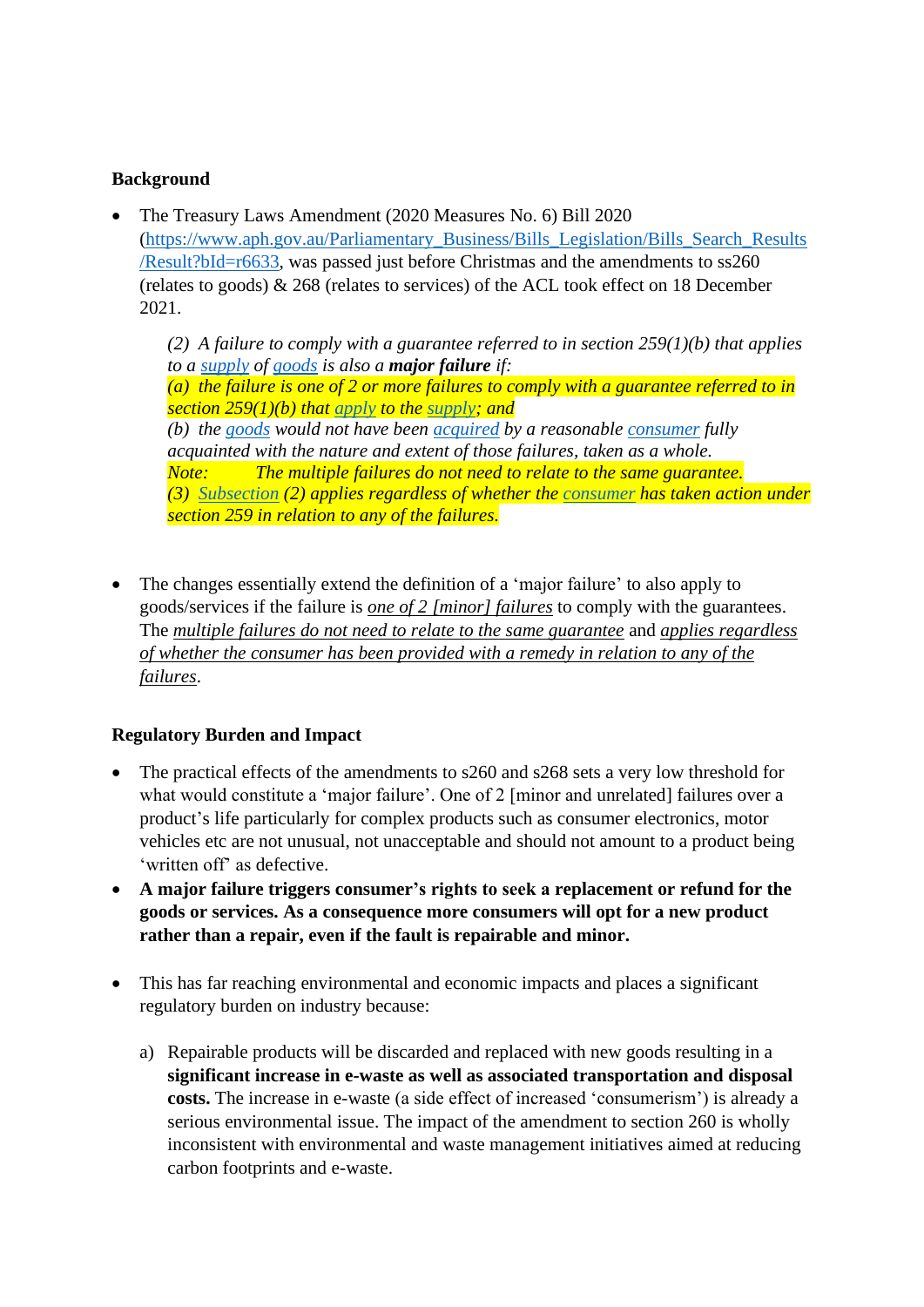## **Background**

• The Treasury Laws Amendment (2020 Measures No. 6) Bill 2020 [\(https://www.aph.gov.au/Parliamentary\\_Business/Bills\\_Legislation/Bills\\_Search\\_Results](https://www.aph.gov.au/Parliamentary_Business/Bills_Legislation/Bills_Search_Results/Result?bId=r6633) [/Result?bId=r6633,](https://www.aph.gov.au/Parliamentary_Business/Bills_Legislation/Bills_Search_Results/Result?bId=r6633) was passed just before Christmas and the amendments to ss260 (relates to goods) & 268 (relates to services) of the ACL took effect on 18 December 2021.

*(2) A failure to comply with a guarantee referred to in section 259(1)(b) that applies to a [supply](http://classic.austlii.edu.au/au/legis/cth/consol_act/caca2010265/s95a.html#supply) of [goods](http://classic.austlii.edu.au/au/legis/cth/consol_act/caca2010265/s95a.html#goods) is also a major failure if: (a) the failure is one of 2 or more failures to comply with a guarantee referred to in section 259(1)(b) that [apply](http://classic.austlii.edu.au/au/legis/cth/consol_act/caca2010265/s150a.html#apply) to the [supply;](http://classic.austlii.edu.au/au/legis/cth/consol_act/caca2010265/s95a.html#supply) and (b) the [goods](http://classic.austlii.edu.au/au/legis/cth/consol_act/caca2010265/s95a.html#goods) would not have been [acquired](http://classic.austlii.edu.au/au/legis/cth/consol_act/caca2010265/s4.html#acquire) by a reasonable [consumer](http://classic.austlii.edu.au/au/legis/cth/consol_act/caca2010265/s51aca.html#consumer) fully acquainted with the nature and extent of those failures, taken as a whole. Note: The multiple failures do not need to relate to the same guarantee. (3) [Subsection](http://classic.austlii.edu.au/au/legis/cth/consol_act/caca2010265/s152cd.html#subsection) (2) applies regardless of whether the [consumer](http://classic.austlii.edu.au/au/legis/cth/consol_act/caca2010265/s51aca.html#consumer) has taken action under section 259 in relation to any of the failures.*

• The changes essentially extend the definition of a 'major failure' to also apply to goods/services if the failure is *one of 2 [minor] failures* to comply with the guarantees. The *multiple failures do not need to relate to the same guarantee* and *applies regardless of whether the consumer has been provided with a remedy in relation to any of the failures*.

## **Regulatory Burden and Impact**

- The practical effects of the amendments to s260 and s268 sets a very low threshold for what would constitute a 'major failure'. One of 2 [minor and unrelated] failures over a product's life particularly for complex products such as consumer electronics, motor vehicles etc are not unusual, not unacceptable and should not amount to a product being 'written off' as defective.
- **A major failure triggers consumer's rights to seek a replacement or refund for the goods or services. As a consequence more consumers will opt for a new product rather than a repair, even if the fault is repairable and minor.**
- This has far reaching environmental and economic impacts and places a significant regulatory burden on industry because:
	- a) Repairable products will be discarded and replaced with new goods resulting in a **significant increase in e-waste as well as associated transportation and disposal costs.** The increase in e-waste (a side effect of increased 'consumerism') is already a serious environmental issue. The impact of the amendment to section 260 is wholly inconsistent with environmental and waste management initiatives aimed at reducing carbon footprints and e-waste.